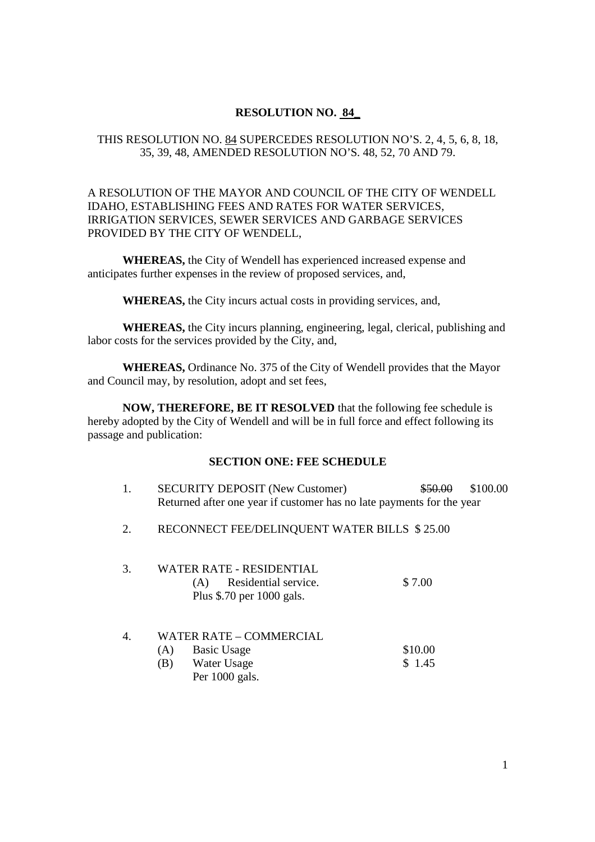## **RESOLUTION NO. 84\_**

## THIS RESOLUTION NO. 84 SUPERCEDES RESOLUTION NO'S. 2, 4, 5, 6, 8, 18, 35, 39, 48, AMENDED RESOLUTION NO'S. 48, 52, 70 AND 79.

## A RESOLUTION OF THE MAYOR AND COUNCIL OF THE CITY OF WENDELL IDAHO, ESTABLISHING FEES AND RATES FOR WATER SERVICES, IRRIGATION SERVICES, SEWER SERVICES AND GARBAGE SERVICES PROVIDED BY THE CITY OF WENDELL,

**WHEREAS,** the City of Wendell has experienced increased expense and anticipates further expenses in the review of proposed services, and,

**WHEREAS,** the City incurs actual costs in providing services, and,

**WHEREAS,** the City incurs planning, engineering, legal, clerical, publishing and labor costs for the services provided by the City, and,

**WHEREAS,** Ordinance No. 375 of the City of Wendell provides that the Mayor and Council may, by resolution, adopt and set fees,

**NOW, THEREFORE, BE IT RESOLVED** that the following fee schedule is hereby adopted by the City of Wendell and will be in full force and effect following its passage and publication:

#### **SECTION ONE: FEE SCHEDULE**

| <b>SECURITY DEPOSIT (New Customer)</b>                                | \$50.00 \$100.00 |
|-----------------------------------------------------------------------|------------------|
| Returned after one year if customer has no late payments for the year |                  |

2. RECONNECT FEE/DELINQUENT WATER BILLS \$ 25.00

| 3. | WATER RATE - RESIDENTIAL<br>(A) Residential service.<br>Plus \$.70 per 1000 gals. | \$7.00  |
|----|-----------------------------------------------------------------------------------|---------|
| 4  | <b>WATER RATE - COMMERCIAL</b><br><b>Basic Usage</b><br>(A)                       | \$10.00 |

(B) Water Usage \$ 1.45 Per 1000 gals.